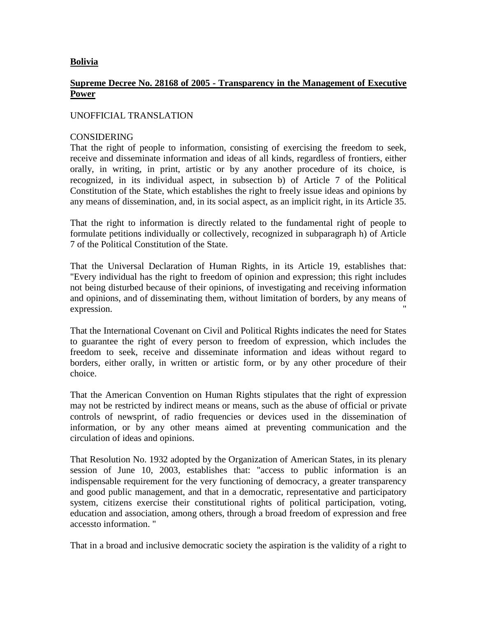# **Bolivia**

# **Supreme Decree No. 28168 of 2005 - Transparency in the Management of Executive Power**

### UNOFFICIAL TRANSLATION

## CONSIDERING

That the right of people to information, consisting of exercising the freedom to seek, receive and disseminate information and ideas of all kinds, regardless of frontiers, either orally, in writing, in print, artistic or by any another procedure of its choice, is recognized, in its individual aspect, in subsection b) of Article 7 of the Political Constitution of the State, which establishes the right to freely issue ideas and opinions by any means of dissemination, and, in its social aspect, as an implicit right, in its Article 35.

That the right to information is directly related to the fundamental right of people to formulate petitions individually or collectively, recognized in subparagraph h) of Article 7 of the Political Constitution of the State.

That the Universal Declaration of Human Rights, in its Article 19, establishes that: "Every individual has the right to freedom of opinion and expression; this right includes not being disturbed because of their opinions, of investigating and receiving information and opinions, and of disseminating them, without limitation of borders, by any means of expression.

That the International Covenant on Civil and Political Rights indicates the need for States to guarantee the right of every person to freedom of expression, which includes the freedom to seek, receive and disseminate information and ideas without regard to borders, either orally, in written or artistic form, or by any other procedure of their choice.

That the American Convention on Human Rights stipulates that the right of expression may not be restricted by indirect means or means, such as the abuse of official or private controls of newsprint, of radio frequencies or devices used in the dissemination of information, or by any other means aimed at preventing communication and the circulation of ideas and opinions.

That Resolution No. 1932 adopted by the Organization of American States, in its plenary session of June 10, 2003, establishes that: "access to public information is an indispensable requirement for the very functioning of democracy, a greater transparency and good public management, and that in a democratic, representative and participatory system, citizens exercise their constitutional rights of political participation, voting, education and association, among others, through a broad freedom of expression and free accessto information. "

That in a broad and inclusive democratic society the aspiration is the validity of a right to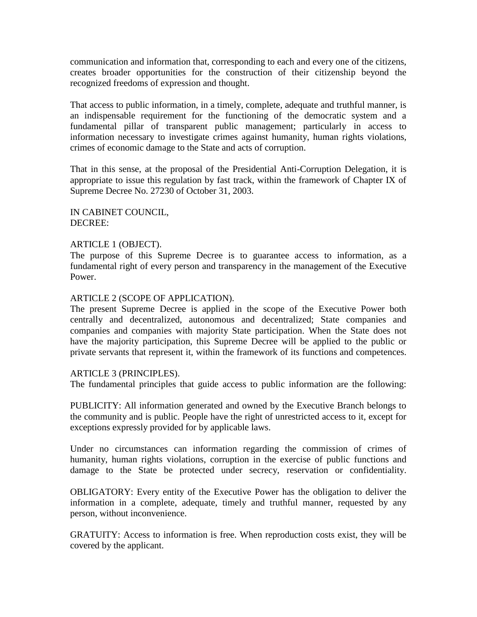communication and information that, corresponding to each and every one of the citizens, creates broader opportunities for the construction of their citizenship beyond the recognized freedoms of expression and thought.

That access to public information, in a timely, complete, adequate and truthful manner, is an indispensable requirement for the functioning of the democratic system and a fundamental pillar of transparent public management; particularly in access to information necessary to investigate crimes against humanity, human rights violations, crimes of economic damage to the State and acts of corruption.

That in this sense, at the proposal of the Presidential Anti-Corruption Delegation, it is appropriate to issue this regulation by fast track, within the framework of Chapter IX of Supreme Decree No. 27230 of October 31, 2003.

IN CABINET COUNCIL, DECREE:

#### ARTICLE 1 (OBJECT).

The purpose of this Supreme Decree is to guarantee access to information, as a fundamental right of every person and transparency in the management of the Executive Power.

#### ARTICLE 2 (SCOPE OF APPLICATION).

The present Supreme Decree is applied in the scope of the Executive Power both centrally and decentralized, autonomous and decentralized; State companies and companies and companies with majority State participation. When the State does not have the majority participation, this Supreme Decree will be applied to the public or private servants that represent it, within the framework of its functions and competences.

#### ARTICLE 3 (PRINCIPLES).

The fundamental principles that guide access to public information are the following:

PUBLICITY: All information generated and owned by the Executive Branch belongs to the community and is public. People have the right of unrestricted access to it, except for exceptions expressly provided for by applicable laws.

Under no circumstances can information regarding the commission of crimes of humanity, human rights violations, corruption in the exercise of public functions and damage to the State be protected under secrecy, reservation or confidentiality.

OBLIGATORY: Every entity of the Executive Power has the obligation to deliver the information in a complete, adequate, timely and truthful manner, requested by any person, without inconvenience.

GRATUITY: Access to information is free. When reproduction costs exist, they will be covered by the applicant.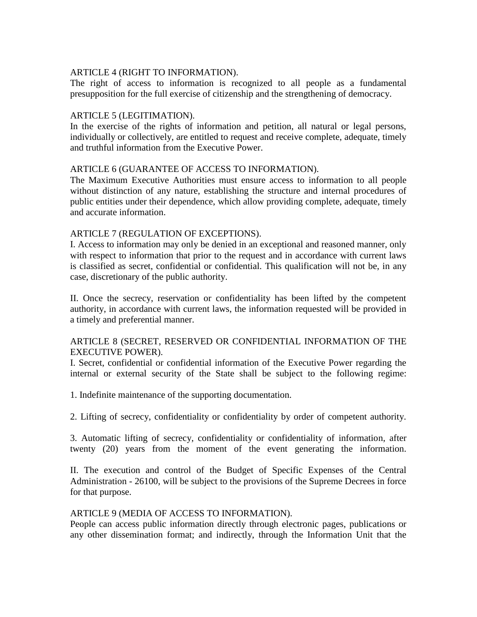## ARTICLE 4 (RIGHT TO INFORMATION).

The right of access to information is recognized to all people as a fundamental presupposition for the full exercise of citizenship and the strengthening of democracy.

## ARTICLE 5 (LEGITIMATION).

In the exercise of the rights of information and petition, all natural or legal persons, individually or collectively, are entitled to request and receive complete, adequate, timely and truthful information from the Executive Power.

# ARTICLE 6 (GUARANTEE OF ACCESS TO INFORMATION).

The Maximum Executive Authorities must ensure access to information to all people without distinction of any nature, establishing the structure and internal procedures of public entities under their dependence, which allow providing complete, adequate, timely and accurate information.

# ARTICLE 7 (REGULATION OF EXCEPTIONS).

I. Access to information may only be denied in an exceptional and reasoned manner, only with respect to information that prior to the request and in accordance with current laws is classified as secret, confidential or confidential. This qualification will not be, in any case, discretionary of the public authority.

II. Once the secrecy, reservation or confidentiality has been lifted by the competent authority, in accordance with current laws, the information requested will be provided in a timely and preferential manner.

# ARTICLE 8 (SECRET, RESERVED OR CONFIDENTIAL INFORMATION OF THE EXECUTIVE POWER).

I. Secret, confidential or confidential information of the Executive Power regarding the internal or external security of the State shall be subject to the following regime:

1. Indefinite maintenance of the supporting documentation.

2. Lifting of secrecy, confidentiality or confidentiality by order of competent authority.

3. Automatic lifting of secrecy, confidentiality or confidentiality of information, after twenty (20) years from the moment of the event generating the information.

II. The execution and control of the Budget of Specific Expenses of the Central Administration - 26100, will be subject to the provisions of the Supreme Decrees in force for that purpose.

### ARTICLE 9 (MEDIA OF ACCESS TO INFORMATION).

People can access public information directly through electronic pages, publications or any other dissemination format; and indirectly, through the Information Unit that the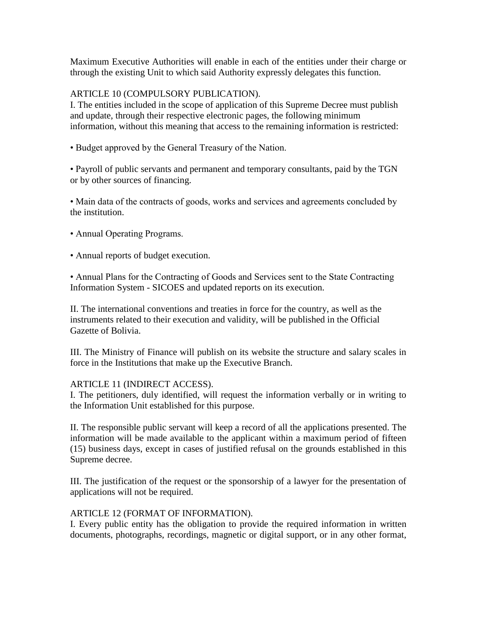Maximum Executive Authorities will enable in each of the entities under their charge or through the existing Unit to which said Authority expressly delegates this function.

# ARTICLE 10 (COMPULSORY PUBLICATION).

I. The entities included in the scope of application of this Supreme Decree must publish and update, through their respective electronic pages, the following minimum information, without this meaning that access to the remaining information is restricted:

• Budget approved by the General Treasury of the Nation.

• Payroll of public servants and permanent and temporary consultants, paid by the TGN or by other sources of financing.

• Main data of the contracts of goods, works and services and agreements concluded by the institution.

- Annual Operating Programs.
- Annual reports of budget execution.

• Annual Plans for the Contracting of Goods and Services sent to the State Contracting Information System - SICOES and updated reports on its execution.

II. The international conventions and treaties in force for the country, as well as the instruments related to their execution and validity, will be published in the Official Gazette of Bolivia.

III. The Ministry of Finance will publish on its website the structure and salary scales in force in the Institutions that make up the Executive Branch.

### ARTICLE 11 (INDIRECT ACCESS).

I. The petitioners, duly identified, will request the information verbally or in writing to the Information Unit established for this purpose.

II. The responsible public servant will keep a record of all the applications presented. The information will be made available to the applicant within a maximum period of fifteen (15) business days, except in cases of justified refusal on the grounds established in this Supreme decree.

III. The justification of the request or the sponsorship of a lawyer for the presentation of applications will not be required.

### ARTICLE 12 (FORMAT OF INFORMATION).

I. Every public entity has the obligation to provide the required information in written documents, photographs, recordings, magnetic or digital support, or in any other format,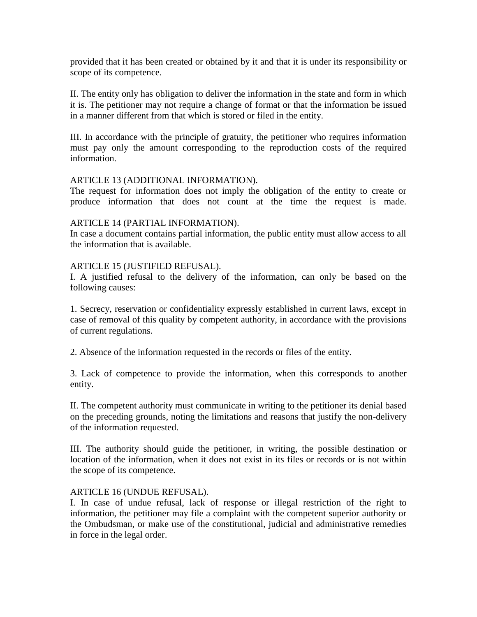provided that it has been created or obtained by it and that it is under its responsibility or scope of its competence.

II. The entity only has obligation to deliver the information in the state and form in which it is. The petitioner may not require a change of format or that the information be issued in a manner different from that which is stored or filed in the entity.

III. In accordance with the principle of gratuity, the petitioner who requires information must pay only the amount corresponding to the reproduction costs of the required information.

### ARTICLE 13 (ADDITIONAL INFORMATION).

The request for information does not imply the obligation of the entity to create or produce information that does not count at the time the request is made.

#### ARTICLE 14 (PARTIAL INFORMATION).

In case a document contains partial information, the public entity must allow access to all the information that is available.

### ARTICLE 15 (JUSTIFIED REFUSAL).

I. A justified refusal to the delivery of the information, can only be based on the following causes:

1. Secrecy, reservation or confidentiality expressly established in current laws, except in case of removal of this quality by competent authority, in accordance with the provisions of current regulations.

2. Absence of the information requested in the records or files of the entity.

3. Lack of competence to provide the information, when this corresponds to another entity.

II. The competent authority must communicate in writing to the petitioner its denial based on the preceding grounds, noting the limitations and reasons that justify the non-delivery of the information requested.

III. The authority should guide the petitioner, in writing, the possible destination or location of the information, when it does not exist in its files or records or is not within the scope of its competence.

#### ARTICLE 16 (UNDUE REFUSAL).

I. In case of undue refusal, lack of response or illegal restriction of the right to information, the petitioner may file a complaint with the competent superior authority or the Ombudsman, or make use of the constitutional, judicial and administrative remedies in force in the legal order.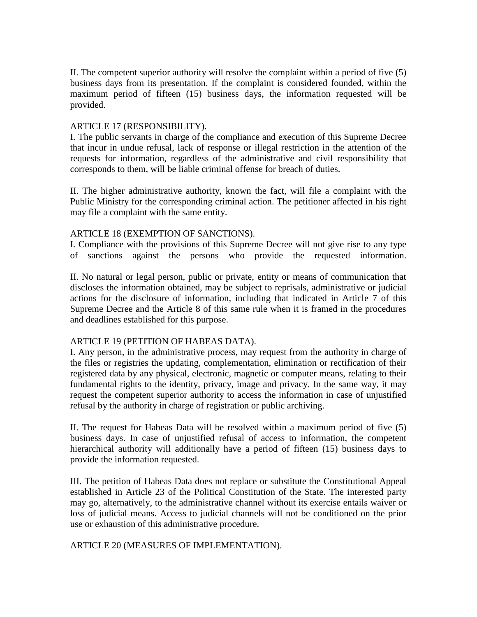II. The competent superior authority will resolve the complaint within a period of five (5) business days from its presentation. If the complaint is considered founded, within the maximum period of fifteen (15) business days, the information requested will be provided.

# ARTICLE 17 (RESPONSIBILITY).

I. The public servants in charge of the compliance and execution of this Supreme Decree that incur in undue refusal, lack of response or illegal restriction in the attention of the requests for information, regardless of the administrative and civil responsibility that corresponds to them, will be liable criminal offense for breach of duties.

II. The higher administrative authority, known the fact, will file a complaint with the Public Ministry for the corresponding criminal action. The petitioner affected in his right may file a complaint with the same entity.

### ARTICLE 18 (EXEMPTION OF SANCTIONS).

I. Compliance with the provisions of this Supreme Decree will not give rise to any type of sanctions against the persons who provide the requested information.

II. No natural or legal person, public or private, entity or means of communication that discloses the information obtained, may be subject to reprisals, administrative or judicial actions for the disclosure of information, including that indicated in Article 7 of this Supreme Decree and the Article 8 of this same rule when it is framed in the procedures and deadlines established for this purpose.

### ARTICLE 19 (PETITION OF HABEAS DATA).

I. Any person, in the administrative process, may request from the authority in charge of the files or registries the updating, complementation, elimination or rectification of their registered data by any physical, electronic, magnetic or computer means, relating to their fundamental rights to the identity, privacy, image and privacy. In the same way, it may request the competent superior authority to access the information in case of unjustified refusal by the authority in charge of registration or public archiving.

II. The request for Habeas Data will be resolved within a maximum period of five (5) business days. In case of unjustified refusal of access to information, the competent hierarchical authority will additionally have a period of fifteen (15) business days to provide the information requested.

III. The petition of Habeas Data does not replace or substitute the Constitutional Appeal established in Article 23 of the Political Constitution of the State. The interested party may go, alternatively, to the administrative channel without its exercise entails waiver or loss of judicial means. Access to judicial channels will not be conditioned on the prior use or exhaustion of this administrative procedure.

ARTICLE 20 (MEASURES OF IMPLEMENTATION).